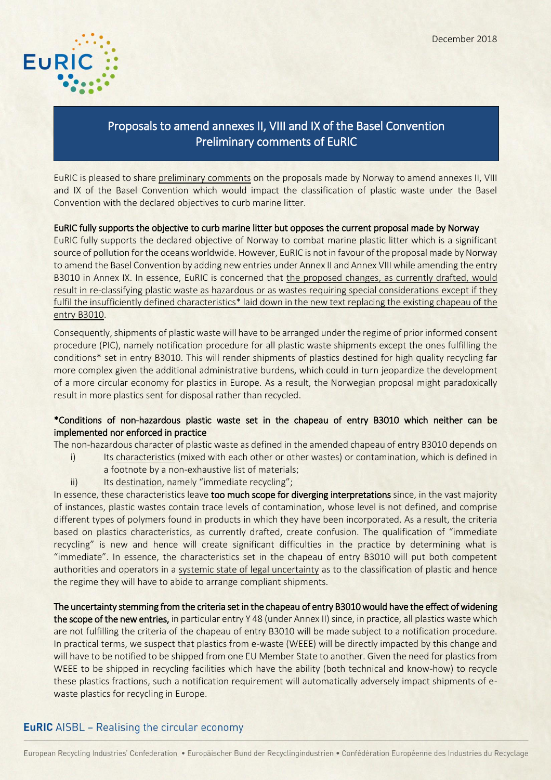

# Proposals to amend annexes II, VIII and IX of the Basel Convention Preliminary comments of EuRIC

EuRIC is pleased to share preliminary comments on the proposals made by Norway to amend annexes II, VIII and IX of the Basel Convention which would impact the classification of plastic waste under the Basel Convention with the declared objectives to curb marine litter.

### EuRIC fully supports the objective to curb marine litter but opposes the current proposal made by Norway

EuRIC fully supports the declared objective of Norway to combat marine plastic litter which is a significant source of pollution for the oceans worldwide. However, EuRIC is not in favour of the proposal made by Norway to amend the Basel Convention by adding new entries under Annex II and Annex VIII while amending the entry B3010 in Annex IX. In essence, EuRIC is concerned that the proposed changes, as currently drafted, would result in re-classifying plastic waste as hazardous or as wastes requiring special considerations except if they fulfil the insufficiently defined characteristics\* laid down in the new text replacing the existing chapeau of the entry B3010.

Consequently, shipments of plastic waste will have to be arranged under the regime of prior informed consent procedure (PIC), namely notification procedure for all plastic waste shipments except the ones fulfilling the conditions\* set in entry B3010. This will render shipments of plastics destined for high quality recycling far more complex given the additional administrative burdens, which could in turn jeopardize the development of a more circular economy for plastics in Europe. As a result, the Norwegian proposal might paradoxically result in more plastics sent for disposal rather than recycled.

### \*Conditions of non-hazardous plastic waste set in the chapeau of entry B3010 which neither can be implemented nor enforced in practice

The non-hazardous character of plastic waste as defined in the amended chapeau of entry B3010 depends on

- i) Its characteristics (mixed with each other or other wastes) or contamination, which is defined in a footnote by a non-exhaustive list of materials;
- ii) Its destination, namely "immediate recycling";

In essence, these characteristics leave too much scope for diverging interpretations since, in the vast majority of instances, plastic wastes contain trace levels of contamination, whose level is not defined, and comprise different types of polymers found in products in which they have been incorporated. As a result, the criteria based on plastics characteristics, as currently drafted, create confusion. The qualification of "immediate recycling" is new and hence will create significant difficulties in the practice by determining what is "immediate". In essence, the characteristics set in the chapeau of entry B3010 will put both competent authorities and operators in a systemic state of legal uncertainty as to the classification of plastic and hence the regime they will have to abide to arrange compliant shipments.

The uncertainty stemming from the criteria set in the chapeau of entry B3010 would have the effect of widening the scope of the new entries, in particular entry Y 48 (under Annex II) since, in practice, all plastics waste which are not fulfilling the criteria of the chapeau of entry B3010 will be made subject to a notification procedure. In practical terms, we suspect that plastics from e-waste (WEEE) will be directly impacted by this change and will have to be notified to be shipped from one EU Member State to another. Given the need for plastics from WEEE to be shipped in recycling facilities which have the ability (both technical and know-how) to recycle these plastics fractions, such a notification requirement will automatically adversely impact shipments of ewaste plastics for recycling in Europe.

### **EuRIC** AISBL – Realising the circular economy